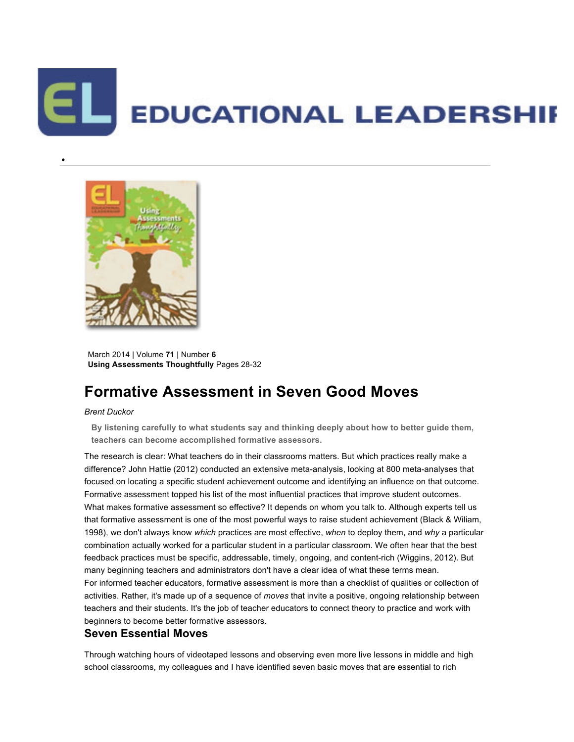



March 2014 | Volume **71** | Number **6 Using Assessments Thoughtfully** Pages 28-32

# **Formative Assessment in Seven Good Moves**

#### *Brent Duckor*

•

**By listening carefully to what students say and thinking deeply about how to better guide them, teachers can become accomplished formative assessors.**

The research is clear: What teachers do in their classrooms matters. But which practices really make a difference? John Hattie (2012) conducted an extensive meta-analysis, looking at 800 meta-analyses that focused on locating a specific student achievement outcome and identifying an influence on that outcome. Formative assessment topped his list of the most influential practices that improve student outcomes. What makes formative assessment so effective? It depends on whom you talk to. Although experts tell us that formative assessment is one of the most powerful ways to raise student achievement (Black & Wiliam, 1998), we don't always know *which* practices are most effective, *when* to deploy them, and *why* a particular combination actually worked for a particular student in a particular classroom. We often hear that the best feedback practices must be specific, addressable, timely, ongoing, and content-rich (Wiggins, 2012). But many beginning teachers and administrators don't have a clear idea of what these terms mean. For informed teacher educators, formative assessment is more than a checklist of qualities or collection of activities. Rather, it's made up of a sequence of *moves* that invite a positive, ongoing relationship between teachers and their students. It's the job of teacher educators to connect theory to practice and work with beginners to become better formative assessors.

# **Seven Essential Moves**

Through watching hours of videotaped lessons and observing even more live lessons in middle and high school classrooms, my colleagues and I have identified seven basic moves that are essential to rich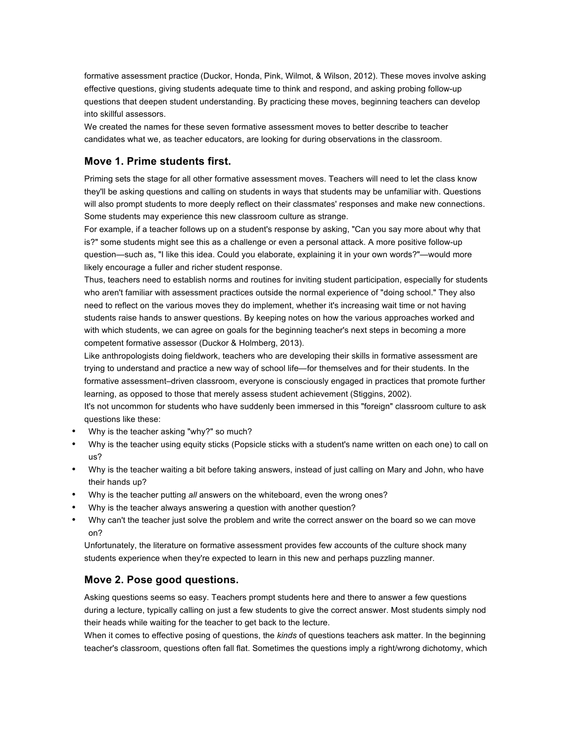formative assessment practice (Duckor, Honda, Pink, Wilmot, & Wilson, 2012). These moves involve asking effective questions, giving students adequate time to think and respond, and asking probing follow-up questions that deepen student understanding. By practicing these moves, beginning teachers can develop into skillful assessors.

We created the names for these seven formative assessment moves to better describe to teacher candidates what we, as teacher educators, are looking for during observations in the classroom.

## **Move 1. Prime students first.**

Priming sets the stage for all other formative assessment moves. Teachers will need to let the class know they'll be asking questions and calling on students in ways that students may be unfamiliar with. Questions will also prompt students to more deeply reflect on their classmates' responses and make new connections. Some students may experience this new classroom culture as strange.

For example, if a teacher follows up on a student's response by asking, "Can you say more about why that is?" some students might see this as a challenge or even a personal attack. A more positive follow-up question—such as, "I like this idea. Could you elaborate, explaining it in your own words?"—would more likely encourage a fuller and richer student response.

Thus, teachers need to establish norms and routines for inviting student participation, especially for students who aren't familiar with assessment practices outside the normal experience of "doing school." They also need to reflect on the various moves they do implement, whether it's increasing wait time or not having students raise hands to answer questions. By keeping notes on how the various approaches worked and with which students, we can agree on goals for the beginning teacher's next steps in becoming a more competent formative assessor (Duckor & Holmberg, 2013).

Like anthropologists doing fieldwork, teachers who are developing their skills in formative assessment are trying to understand and practice a new way of school life—for themselves and for their students. In the formative assessment–driven classroom, everyone is consciously engaged in practices that promote further learning, as opposed to those that merely assess student achievement (Stiggins, 2002).

It's not uncommon for students who have suddenly been immersed in this "foreign" classroom culture to ask questions like these:

- Why is the teacher asking "why?" so much?
- Why is the teacher using equity sticks (Popsicle sticks with a student's name written on each one) to call on us?
- Why is the teacher waiting a bit before taking answers, instead of just calling on Mary and John, who have their hands up?
- Why is the teacher putting *all* answers on the whiteboard, even the wrong ones?
- Why is the teacher always answering a question with another question?
- Why can't the teacher just solve the problem and write the correct answer on the board so we can move on?

Unfortunately, the literature on formative assessment provides few accounts of the culture shock many students experience when they're expected to learn in this new and perhaps puzzling manner.

## **Move 2. Pose good questions.**

Asking questions seems so easy. Teachers prompt students here and there to answer a few questions during a lecture, typically calling on just a few students to give the correct answer. Most students simply nod their heads while waiting for the teacher to get back to the lecture.

When it comes to effective posing of questions, the *kinds* of questions teachers ask matter. In the beginning teacher's classroom, questions often fall flat. Sometimes the questions imply a right/wrong dichotomy, which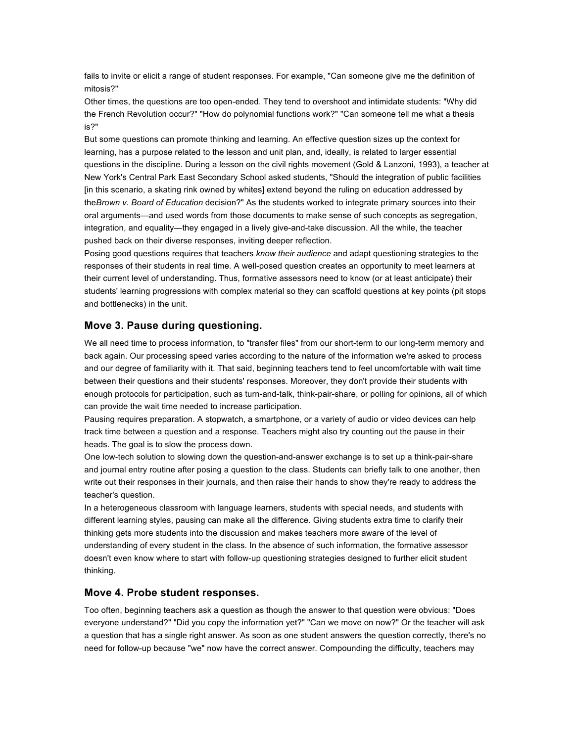fails to invite or elicit a range of student responses. For example, "Can someone give me the definition of mitosis?"

Other times, the questions are too open-ended. They tend to overshoot and intimidate students: "Why did the French Revolution occur?" "How do polynomial functions work?" "Can someone tell me what a thesis is?"

But some questions can promote thinking and learning. An effective question sizes up the context for learning, has a purpose related to the lesson and unit plan, and, ideally, is related to larger essential questions in the discipline. During a lesson on the civil rights movement (Gold & Lanzoni, 1993), a teacher at New York's Central Park East Secondary School asked students, "Should the integration of public facilities [in this scenario, a skating rink owned by whites] extend beyond the ruling on education addressed by the*Brown v. Board of Education* decision?" As the students worked to integrate primary sources into their oral arguments—and used words from those documents to make sense of such concepts as segregation, integration, and equality—they engaged in a lively give-and-take discussion. All the while, the teacher pushed back on their diverse responses, inviting deeper reflection.

Posing good questions requires that teachers *know their audience* and adapt questioning strategies to the responses of their students in real time. A well-posed question creates an opportunity to meet learners at their current level of understanding. Thus, formative assessors need to know (or at least anticipate) their students' learning progressions with complex material so they can scaffold questions at key points (pit stops and bottlenecks) in the unit.

## **Move 3. Pause during questioning.**

We all need time to process information, to "transfer files" from our short-term to our long-term memory and back again. Our processing speed varies according to the nature of the information we're asked to process and our degree of familiarity with it. That said, beginning teachers tend to feel uncomfortable with wait time between their questions and their students' responses. Moreover, they don't provide their students with enough protocols for participation, such as turn-and-talk, think-pair-share, or polling for opinions, all of which can provide the wait time needed to increase participation.

Pausing requires preparation. A stopwatch, a smartphone, or a variety of audio or video devices can help track time between a question and a response. Teachers might also try counting out the pause in their heads. The goal is to slow the process down.

One low-tech solution to slowing down the question-and-answer exchange is to set up a think-pair-share and journal entry routine after posing a question to the class. Students can briefly talk to one another, then write out their responses in their journals, and then raise their hands to show they're ready to address the teacher's question.

In a heterogeneous classroom with language learners, students with special needs, and students with different learning styles, pausing can make all the difference. Giving students extra time to clarify their thinking gets more students into the discussion and makes teachers more aware of the level of understanding of every student in the class. In the absence of such information, the formative assessor doesn't even know where to start with follow-up questioning strategies designed to further elicit student thinking.

#### **Move 4. Probe student responses.**

Too often, beginning teachers ask a question as though the answer to that question were obvious: "Does everyone understand?" "Did you copy the information yet?" "Can we move on now?" Or the teacher will ask a question that has a single right answer. As soon as one student answers the question correctly, there's no need for follow-up because "we" now have the correct answer. Compounding the difficulty, teachers may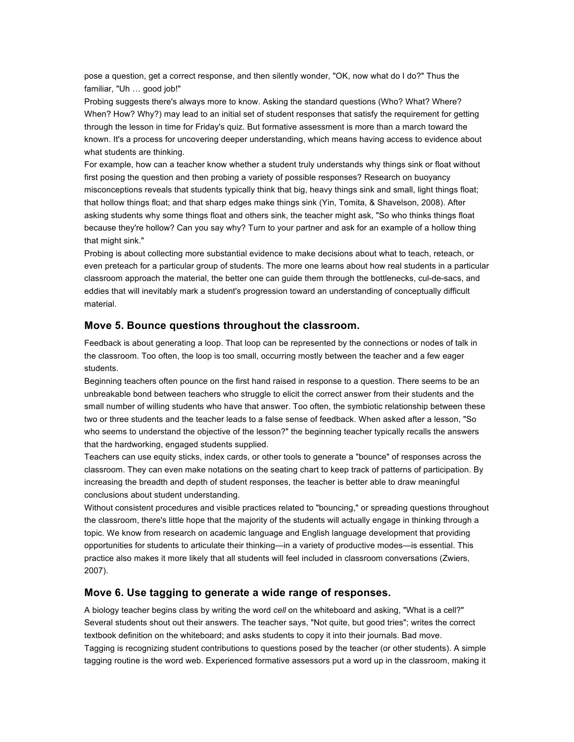pose a question, get a correct response, and then silently wonder, "OK, now what do I do?" Thus the familiar, "Uh … good job!"

Probing suggests there's always more to know. Asking the standard questions (Who? What? Where? When? How? Why?) may lead to an initial set of student responses that satisfy the requirement for getting through the lesson in time for Friday's quiz. But formative assessment is more than a march toward the known. It's a process for uncovering deeper understanding, which means having access to evidence about what students are thinking.

For example, how can a teacher know whether a student truly understands why things sink or float without first posing the question and then probing a variety of possible responses? Research on buoyancy misconceptions reveals that students typically think that big, heavy things sink and small, light things float; that hollow things float; and that sharp edges make things sink (Yin, Tomita, & Shavelson, 2008). After asking students why some things float and others sink, the teacher might ask, "So who thinks things float because they're hollow? Can you say why? Turn to your partner and ask for an example of a hollow thing that might sink."

Probing is about collecting more substantial evidence to make decisions about what to teach, reteach, or even preteach for a particular group of students. The more one learns about how real students in a particular classroom approach the material, the better one can guide them through the bottlenecks, cul-de-sacs, and eddies that will inevitably mark a student's progression toward an understanding of conceptually difficult material.

#### **Move 5. Bounce questions throughout the classroom.**

Feedback is about generating a loop. That loop can be represented by the connections or nodes of talk in the classroom. Too often, the loop is too small, occurring mostly between the teacher and a few eager students.

Beginning teachers often pounce on the first hand raised in response to a question. There seems to be an unbreakable bond between teachers who struggle to elicit the correct answer from their students and the small number of willing students who have that answer. Too often, the symbiotic relationship between these two or three students and the teacher leads to a false sense of feedback. When asked after a lesson, "So who seems to understand the objective of the lesson?" the beginning teacher typically recalls the answers that the hardworking, engaged students supplied.

Teachers can use equity sticks, index cards, or other tools to generate a "bounce" of responses across the classroom. They can even make notations on the seating chart to keep track of patterns of participation. By increasing the breadth and depth of student responses, the teacher is better able to draw meaningful conclusions about student understanding.

Without consistent procedures and visible practices related to "bouncing," or spreading questions throughout the classroom, there's little hope that the majority of the students will actually engage in thinking through a topic. We know from research on academic language and English language development that providing opportunities for students to articulate their thinking—in a variety of productive modes—is essential. This practice also makes it more likely that all students will feel included in classroom conversations (Zwiers, 2007).

## **Move 6. Use tagging to generate a wide range of responses.**

A biology teacher begins class by writing the word *cell* on the whiteboard and asking, "What is a cell?" Several students shout out their answers. The teacher says, "Not quite, but good tries"; writes the correct textbook definition on the whiteboard; and asks students to copy it into their journals. Bad move. Tagging is recognizing student contributions to questions posed by the teacher (or other students). A simple tagging routine is the word web. Experienced formative assessors put a word up in the classroom, making it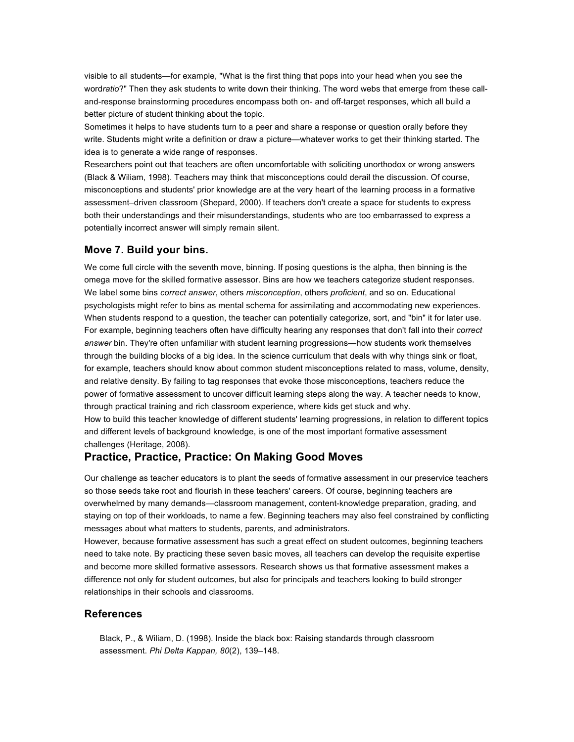visible to all students—for example, "What is the first thing that pops into your head when you see the word*ratio*?" Then they ask students to write down their thinking. The word webs that emerge from these calland-response brainstorming procedures encompass both on- and off-target responses, which all build a better picture of student thinking about the topic.

Sometimes it helps to have students turn to a peer and share a response or question orally before they write. Students might write a definition or draw a picture—whatever works to get their thinking started. The idea is to generate a wide range of responses.

Researchers point out that teachers are often uncomfortable with soliciting unorthodox or wrong answers (Black & Wiliam, 1998). Teachers may think that misconceptions could derail the discussion. Of course, misconceptions and students' prior knowledge are at the very heart of the learning process in a formative assessment–driven classroom (Shepard, 2000). If teachers don't create a space for students to express both their understandings and their misunderstandings, students who are too embarrassed to express a potentially incorrect answer will simply remain silent.

# **Move 7. Build your bins.**

We come full circle with the seventh move, binning. If posing questions is the alpha, then binning is the omega move for the skilled formative assessor. Bins are how we teachers categorize student responses. We label some bins *correct answer*, others *misconception*, others *proficient*, and so on. Educational psychologists might refer to bins as mental schema for assimilating and accommodating new experiences. When students respond to a question, the teacher can potentially categorize, sort, and "bin" it for later use. For example, beginning teachers often have difficulty hearing any responses that don't fall into their *correct answer* bin. They're often unfamiliar with student learning progressions—how students work themselves through the building blocks of a big idea. In the science curriculum that deals with why things sink or float, for example, teachers should know about common student misconceptions related to mass, volume, density, and relative density. By failing to tag responses that evoke those misconceptions, teachers reduce the power of formative assessment to uncover difficult learning steps along the way. A teacher needs to know, through practical training and rich classroom experience, where kids get stuck and why. How to build this teacher knowledge of different students' learning progressions, in relation to different topics and different levels of background knowledge, is one of the most important formative assessment challenges (Heritage, 2008).

# **Practice, Practice, Practice: On Making Good Moves**

Our challenge as teacher educators is to plant the seeds of formative assessment in our preservice teachers so those seeds take root and flourish in these teachers' careers. Of course, beginning teachers are overwhelmed by many demands—classroom management, content-knowledge preparation, grading, and staying on top of their workloads, to name a few. Beginning teachers may also feel constrained by conflicting messages about what matters to students, parents, and administrators.

However, because formative assessment has such a great effect on student outcomes, beginning teachers need to take note. By practicing these seven basic moves, all teachers can develop the requisite expertise and become more skilled formative assessors. Research shows us that formative assessment makes a difference not only for student outcomes, but also for principals and teachers looking to build stronger relationships in their schools and classrooms.

## **References**

Black, P., & Wiliam, D. (1998). Inside the black box: Raising standards through classroom assessment. *Phi Delta Kappan, 80*(2), 139–148.